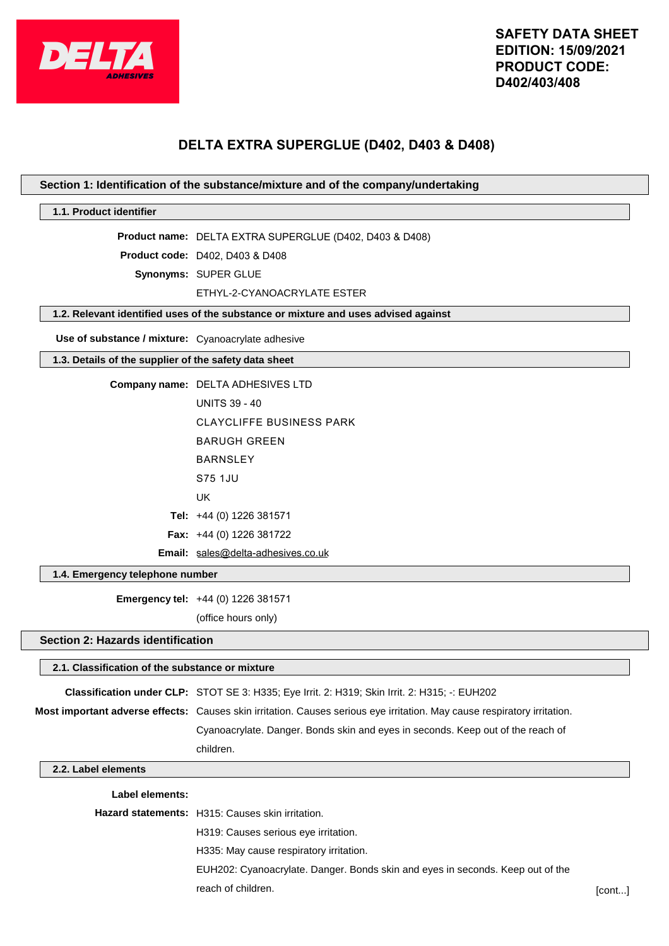

# **DELTA EXTRA SUPERGLUE (D402, D403 & D408)**

# **Section 1: Identification of the substance/mixture and of the company/undertaking**

# **1.1. Product identifier**

**Product name:** DELTA EXTRA SUPERGLUE (D402, D403 & D408)

**Product code:** D402, D403 & D408

**Synonyms:** SUPER GLUE

ETHYL-2-CYANOACRYLATE ESTER

# **1.2. Relevant identified uses of the substance or mixture and uses advised against**

**Use of substance / mixture:** Cyanoacrylate adhesive

## **1.3. Details of the supplier of the safety data sheet**

| <b>Company name: DELTA ADHESIVES LTD</b> |
|------------------------------------------|
| <b>UNITS 39 - 40</b>                     |
| <b>CLAYCLIFFE BUSINESS PARK</b>          |
| BARUGH GRFFN                             |
| <b>BARNSLEY</b>                          |
| S75 1.JU                                 |
| UK                                       |
| Tel: $+44$ (0) 1226 381571               |
| <b>Fax:</b> $+44$ (0) 1226 381722        |
| Email: sales@delta-adhesives.co.uk       |

#### **1.4. Emergency telephone number**

**Emergency tel:** +44 (0) 1226 381571

(office hours only)

# **Section 2: Hazards identification**

# **2.1. Classification of the substance or mixture Classification under CLP:** STOT SE 3: H335; Eye Irrit. 2: H319; Skin Irrit. 2: H315; -: EUH202 **Most important adverse effects:** Causes skin irritation. Causes serious eye irritation. May cause respiratory irritation. Cyanoacrylate. Danger. Bonds skin and eyes in seconds. Keep out of the reach of children. **2.2. Label elements Label elements:**

| <b>Hazard statements:</b> H315: Causes skin irritation.                        |        |
|--------------------------------------------------------------------------------|--------|
| H319: Causes serious eye irritation.                                           |        |
| H335: May cause respiratory irritation.                                        |        |
| EUH202: Cyanoacrylate. Danger. Bonds skin and eyes in seconds. Keep out of the |        |
| reach of children.                                                             | [cont] |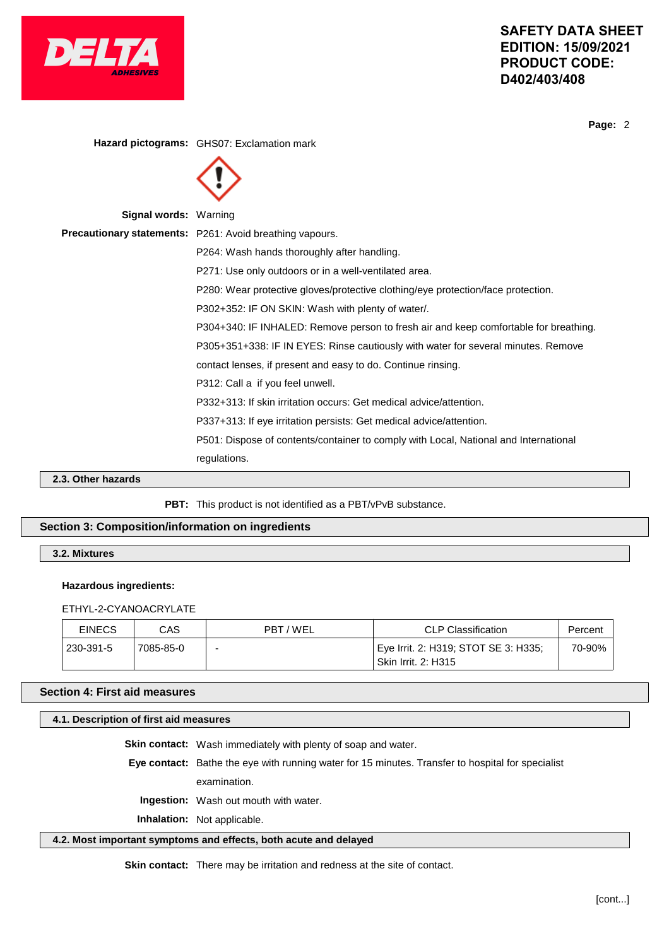

**Page:** 2

|                              | Hazard pictograms: GHS07: Exclamation mark                                           |
|------------------------------|--------------------------------------------------------------------------------------|
|                              |                                                                                      |
| <b>Signal words: Warning</b> |                                                                                      |
|                              | <b>Precautionary statements:</b> P261: Avoid breathing vapours.                      |
|                              | P264: Wash hands thoroughly after handling.                                          |
|                              | P271: Use only outdoors or in a well-ventilated area.                                |
|                              | P280: Wear protective gloves/protective clothing/eye protection/face protection.     |
|                              | P302+352: IF ON SKIN: Wash with plenty of water/.                                    |
|                              | P304+340: IF INHALED: Remove person to fresh air and keep comfortable for breathing. |
|                              | P305+351+338: IF IN EYES: Rinse cautiously with water for several minutes. Remove    |
|                              | contact lenses, if present and easy to do. Continue rinsing.                         |
|                              | P312: Call a if you feel unwell.                                                     |
|                              | P332+313: If skin irritation occurs: Get medical advice/attention.                   |
|                              | P337+313: If eye irritation persists: Get medical advice/attention.                  |
|                              | P501: Dispose of contents/container to comply with Local, National and International |
|                              | regulations.                                                                         |

**2.3. Other hazards**

PBT: This product is not identified as a PBT/vPvB substance.

# **Section 3: Composition/information on ingredients**

**3.2. Mixtures**

#### **Hazardous ingredients:**

ETHYL-2-CYANOACRYLATE

| <b>EINECS</b> | CAS       | PBT/WEL | <b>CLP Classification</b>                                          | Percent |
|---------------|-----------|---------|--------------------------------------------------------------------|---------|
| 230-391-5     | 7085-85-0 | -       | Eye Irrit. 2: H319; STOT SE 3: H335;<br><b>Skin Irrit. 2: H315</b> | 70-90%  |

# **Section 4: First aid measures**

# **4.1. Description of first aid measures**

**Skin contact:** Wash immediately with plenty of soap and water.

**Eye contact:** Bathe the eye with running water for 15 minutes. Transfer to hospital for specialist

examination.

**Ingestion:** Wash out mouth with water.

**Inhalation:** Not applicable.

# **4.2. Most important symptoms and effects, both acute and delayed**

**Skin contact:** There may be irritation and redness at the site of contact.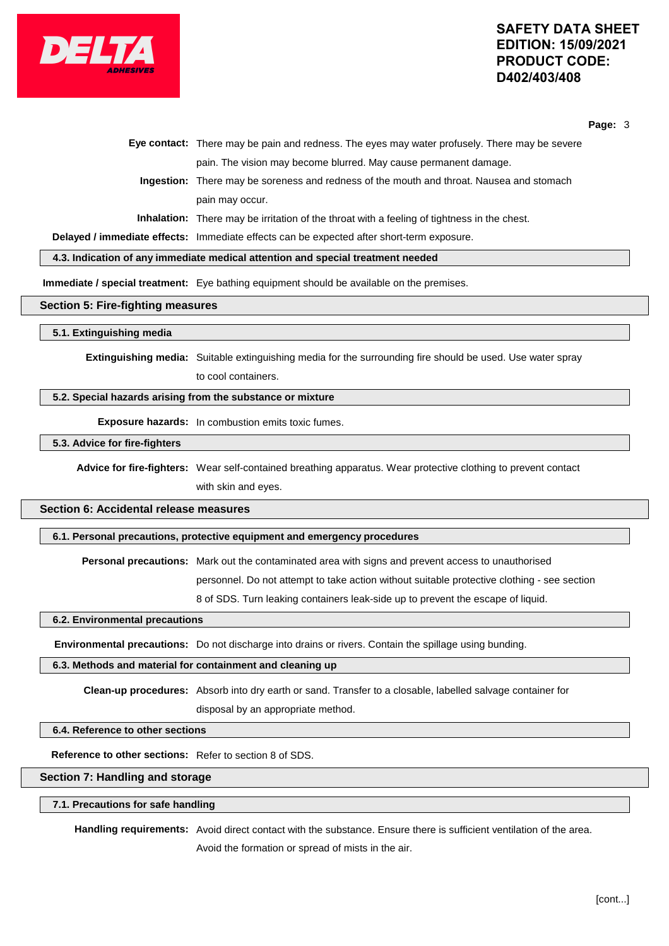

**Page:** 3

|  | Eye contact: There may be pain and redness. The eyes may water profusely. There may be severe      |
|--|----------------------------------------------------------------------------------------------------|
|  | pain. The vision may become blurred. May cause permanent damage.                                   |
|  | Ingestion: There may be soreness and redness of the mouth and throat. Nausea and stomach           |
|  | pain may occur.                                                                                    |
|  | <b>Inhalation:</b> There may be irritation of the throat with a feeling of tightness in the chest. |
|  |                                                                                                    |

**Delayed / immediate effects:** Immediate effects can be expected after short-term exposure.

**4.3. Indication of any immediate medical attention and special treatment needed**

**Immediate / special treatment:** Eye bathing equipment should be available on the premises.

#### **Section 5: Fire-fighting measures**

#### **5.1. Extinguishing media**

**Extinguishing media:** Suitable extinguishing media for the surrounding fire should be used. Use water spray to cool containers.

# **5.2. Special hazards arising from the substance or mixture**

**Exposure hazards:** In combustion emits toxic fumes.

## **5.3. Advice for fire-fighters**

**Advice for fire-fighters:** Wear self-contained breathing apparatus. Wear protective clothing to prevent contact with skin and eyes.

# **Section 6: Accidental release measures**

# **6.1. Personal precautions, protective equipment and emergency procedures**

**Personal precautions:** Mark out the contaminated area with signs and prevent access to unauthorised

personnel. Do not attempt to take action without suitable protective clothing - see section

8 of SDS. Turn leaking containers leak-side up to prevent the escape of liquid.

## **6.2. Environmental precautions**

**Environmental precautions:** Do not discharge into drains or rivers. Contain the spillage using bunding.

#### **6.3. Methods and material for containment and cleaning up**

**Clean-up procedures:** Absorb into dry earth or sand. Transfer to a closable, labelled salvage container for disposal by an appropriate method.

## **6.4. Reference to other sections**

**Reference to other sections:** Refer to section 8 of SDS.

# **Section 7: Handling and storage**

# **7.1. Precautions for safe handling**

**Handling requirements:** Avoid direct contact with the substance. Ensure there is sufficient ventilation of the area. Avoid the formation or spread of mists in the air.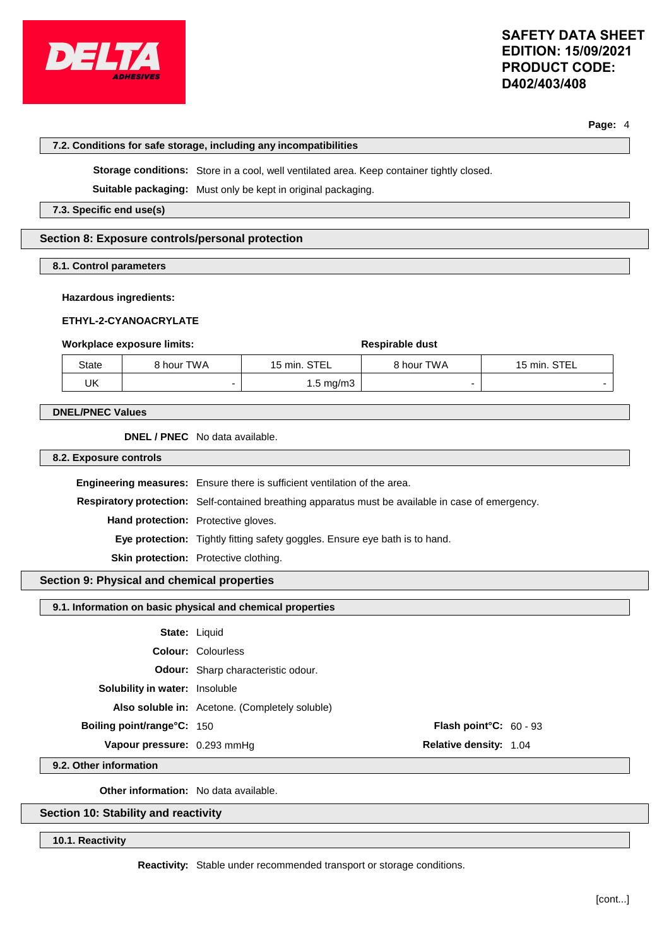

**Page:** 4

#### **7.2. Conditions for safe storage, including any incompatibilities**

**Storage conditions:** Store in a cool, well ventilated area. Keep container tightly closed.

**Suitable packaging:** Must only be kept in original packaging.

**7.3. Specific end use(s)**

# **Section 8: Exposure controls/personal protection**

**8.1. Control parameters**

#### **Hazardous ingredients:**

#### **ETHYL-2-CYANOACRYLATE**

#### **Workplace exposure limits:**  $\qquad \qquad$  **Respirable** dust

| State | 8 hour TWA | STEL<br>$15 \text{ min.}$ | 3 hour TWA | STEL<br>$15 \text{ min.}$ |
|-------|------------|---------------------------|------------|---------------------------|
| UK    |            | 1.5 mg/m3                 |            |                           |

#### **DNEL/PNEC Values**

**DNEL / PNEC** No data available.

**8.2. Exposure controls**

**Engineering measures:** Ensure there is sufficient ventilation of the area. **Respiratory protection:** Self-contained breathing apparatus must be available in case of emergency. **Hand protection:** Protective gloves. **Eye protection:** Tightly fitting safety goggles. Ensure eye bath is to hand. **Skin protection:** Protective clothing.

# **Section 9: Physical and chemical properties**

# **9.1. Information on basic physical and chemical properties**

|                                       | <b>State: Liquid</b>                           |                                  |  |
|---------------------------------------|------------------------------------------------|----------------------------------|--|
|                                       | <b>Colour: Colourless</b>                      |                                  |  |
|                                       | <b>Odour:</b> Sharp characteristic odour.      |                                  |  |
| <b>Solubility in water:</b> Insoluble |                                                |                                  |  |
|                                       | Also soluble in: Acetone. (Completely soluble) |                                  |  |
| <b>Boiling point/range°C: 150</b>     |                                                | <b>Flash point °C:</b> $60 - 93$ |  |
| Vapour pressure: 0.293 mmHg           |                                                | <b>Relative density: 1.04</b>    |  |

**9.2. Other information**

**Other information:** No data available.

# **Section 10: Stability and reactivity**

**10.1. Reactivity**

**Reactivity:** Stable under recommended transport or storage conditions.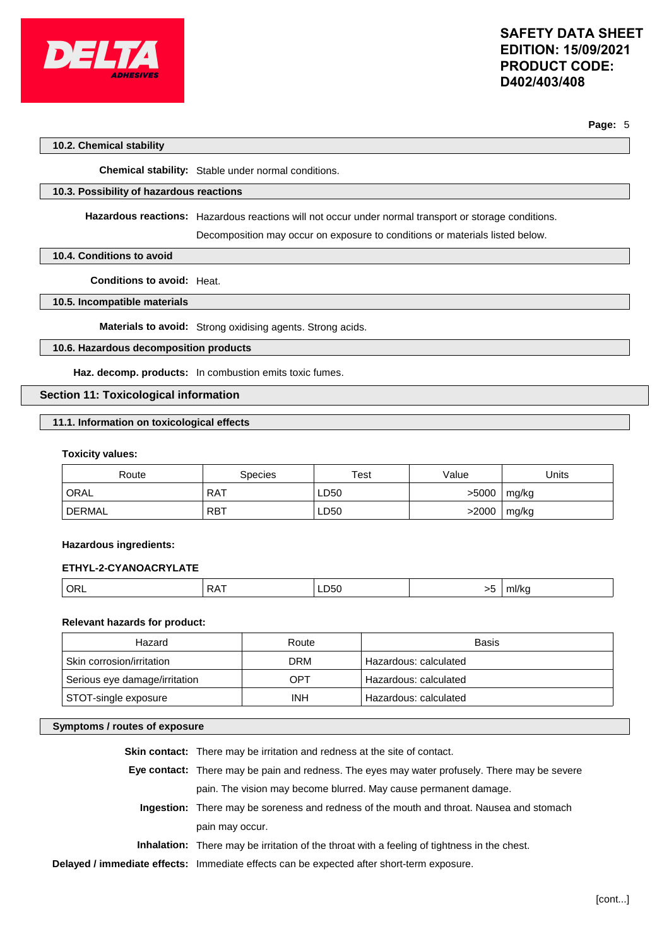

#### **Page:** 5

### **10.2. Chemical stability**

**Chemical stability:** Stable under normal conditions.

# **10.3. Possibility of hazardous reactions**

**Hazardous reactions:** Hazardous reactions will not occur under normal transport or storage conditions.

Decomposition may occur on exposure to conditions or materials listed below.

# **10.4. Conditions to avoid**

**Conditions to avoid:** Heat.

# **10.5. Incompatible materials**

**Materials to avoid:** Strong oxidising agents. Strong acids.

# **10.6. Hazardous decomposition products**

**Haz. decomp. products:** In combustion emits toxic fumes.

# **Section 11: Toxicological information**

# **11.1. Information on toxicological effects**

#### **Toxicity values:**

| Route  | Species    | Test | Value | Units |
|--------|------------|------|-------|-------|
| ORAL   | <b>RAT</b> | LD50 | >5000 | mg/kg |
| DERMAL | <b>RBT</b> | LD50 | >2000 | mg/kg |

#### **Hazardous ingredients:**

## **ETHYL-2-CYANOACRYLATE**

|  | OR | ĸΑ | LD50<br>$ -$ | 一 | ∵ml/k⊾ |
|--|----|----|--------------|---|--------|
|--|----|----|--------------|---|--------|

# **Relevant hazards for product:**

| Hazard                        | Route      | Basis                 |
|-------------------------------|------------|-----------------------|
| Skin corrosion/irritation     | <b>DRM</b> | Hazardous: calculated |
| Serious eye damage/irritation | OPT        | Hazardous: calculated |
| STOT-single exposure          | <b>INH</b> | Hazardous: calculated |

# **Symptoms / routes of exposure**

| <b>Skin contact:</b> There may be irritation and redness at the site of contact.                   |
|----------------------------------------------------------------------------------------------------|
| Eye contact: There may be pain and redness. The eyes may water profusely. There may be severe      |
| pain. The vision may become blurred. May cause permanent damage.                                   |
| <b>Ingestion:</b> There may be soreness and redness of the mouth and throat. Nausea and stomach    |
| pain may occur.                                                                                    |
| <b>Inhalation:</b> There may be irritation of the throat with a feeling of tightness in the chest. |
| Delayed / immediate effects: Immediate effects can be expected after short-term exposure.          |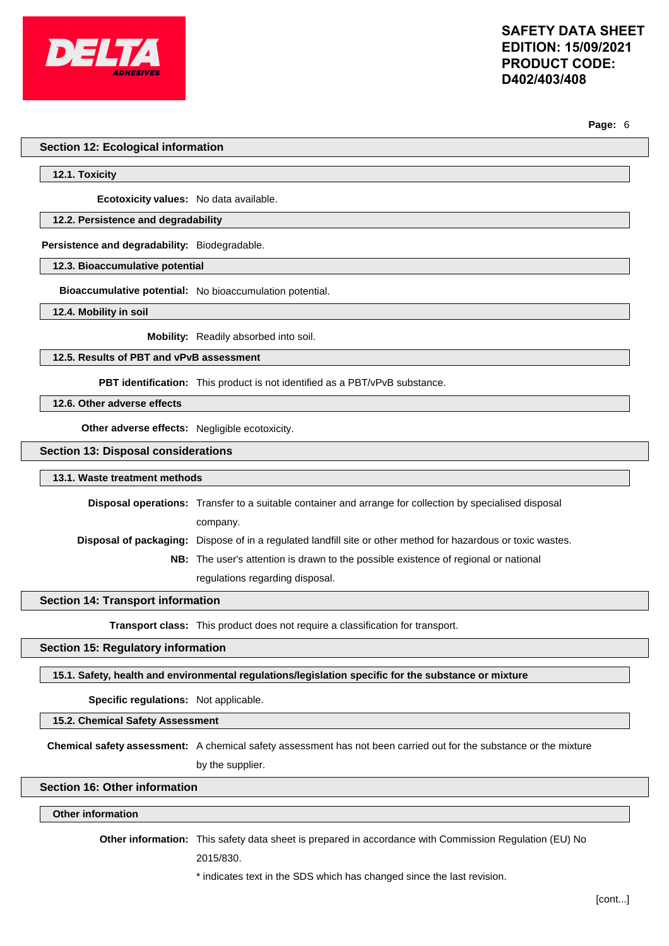

**Page:** 6

#### **Section 12: Ecological information**

#### **12.1. Toxicity**

**Ecotoxicity values:** No data available.

## **12.2. Persistence and degradability**

#### **Persistence and degradability:** Biodegradable.

**12.3. Bioaccumulative potential**

**Bioaccumulative potential:** No bioaccumulation potential.

**12.4. Mobility in soil**

**Mobility:** Readily absorbed into soil.

## **12.5. Results of PBT and vPvB assessment**

**PBT identification:** This product is not identified as a PBT/vPvB substance.

**12.6. Other adverse effects**

**Other adverse effects:** Negligible ecotoxicity.

#### **Section 13: Disposal considerations**

#### **13.1. Waste treatment methods**

**Disposal operations:** Transfer to a suitable container and arrange for collection by specialised disposal company. **Disposal of packaging:** Dispose of in a regulated landfill site or other method for hazardous or toxic wastes. **NB:** The user's attention is drawn to the possible existence of regional or national

regulations regarding disposal.

### **Section 14: Transport information**

**Transport class:** This product does not require a classification for transport.

## **Section 15: Regulatory information**

# **15.1. Safety, health and environmental regulations/legislation specific for the substance or mixture**

**Specific regulations:** Not applicable.

#### **15.2. Chemical Safety Assessment**

**Chemical safety assessment:** A chemical safety assessment has not been carried out for the substance or the mixture by the supplier.

# **Section 16: Other information**

# **Other information**

**Other information:** This safety data sheet is prepared in accordance with Commission Regulation (EU) No

2015/830.

### \* indicates text in the SDS which has changed since the last revision.